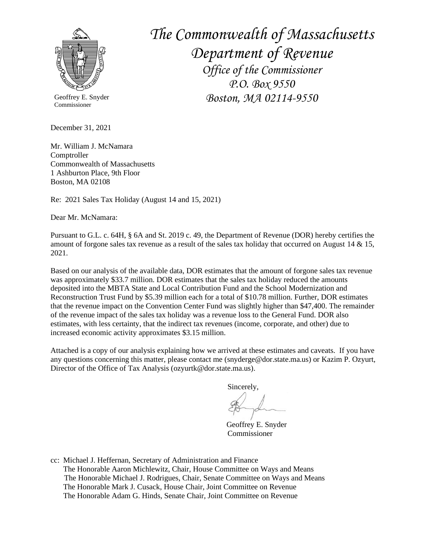

Commissioner

December 31, 2021

Mr. William J. McNamara Comptroller Commonwealth of Massachusetts 1 Ashburton Place, 9th Floor Boston, MA 02108

Re: 2021 Sales Tax Holiday (August 14 and 15, 2021)

Dear Mr. McNamara:

Pursuant to G.L. c. 64H, § 6A and St. 2019 c. 49, the Department of Revenue (DOR) hereby certifies the amount of forgone sales tax revenue as a result of the sales tax holiday that occurred on August 14 & 15, 2021.

Based on our analysis of the available data, DOR estimates that the amount of forgone sales tax revenue was approximately \$33.7 million. DOR estimates that the sales tax holiday reduced the amounts deposited into the MBTA State and Local Contribution Fund and the School Modernization and Reconstruction Trust Fund by \$5.39 million each for a total of \$10.78 million. Further, DOR estimates that the revenue impact on the Convention Center Fund was slightly higher than \$47,400. The remainder of the revenue impact of the sales tax holiday was a revenue loss to the General Fund. DOR also estimates, with less certainty, that the indirect tax revenues (income, corporate, and other) due to increased economic activity approximates \$3.15 million.

Attached is a copy of our analysis explaining how we arrived at these estimates and caveats. If you have any questions concerning this matter, please contact me [\(snyderge@dor.state.ma.us\)](mailto:snyderge@dor.state.ma.us) or Kazim P. Ozyurt, Director of the Office of Tax Analysis [\(ozyurtk@dor.state.ma.us\)](mailto:ozyurtk@dor.state.ma.us).

Sincerely,

 Geoffrey E. Snyder Commissioner

cc: Michael J. Heffernan, Secretary of Administration and Finance The Honorable Aaron Michlewitz, Chair, House Committee on Ways and Means The Honorable Michael J. Rodrigues, Chair, Senate Committee on Ways and Means The Honorable Mark J. Cusack, House Chair, Joint Committee on Revenue The Honorable Adam G. Hinds, Senate Chair, Joint Committee on Revenue

*The Commonwealth of Massachusetts Department of Revenue Office of the Commissioner P.O. Box 9550* Geoffrey E. Snyder *Boston, MA 02114-9550*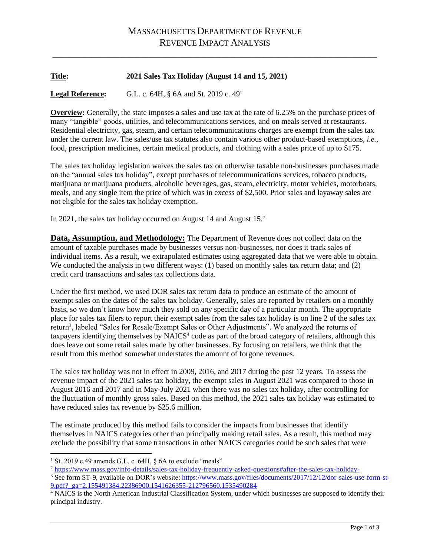\_\_\_\_\_\_\_\_\_\_\_\_\_\_\_\_\_\_\_\_\_\_\_\_\_\_\_\_\_\_\_\_\_\_\_\_\_\_\_\_\_\_\_\_\_\_\_\_\_\_\_\_\_\_\_\_\_\_\_\_\_\_\_\_\_\_

## **Title: 2021 Sales Tax Holiday (August 14 and 15, 2021)**

**Legal Reference:** G.L. c. 64H, § 6A and St. 2019 c. 49<sup>1</sup>

**Overview:** Generally, the state imposes a sales and use tax at the rate of 6.25% on the purchase prices of many "tangible" goods, utilities, and telecommunications services, and on meals served at restaurants. Residential electricity, gas, steam, and certain telecommunications charges are exempt from the sales tax under the current law. The sales/use tax statutes also contain various other product-based exemptions, *i.e.,*  food, prescription medicines, certain medical products, and clothing with a sales price of up to \$175.

The sales tax holiday legislation waives the sales tax on otherwise taxable non-businesses purchases made on the "annual sales tax holiday", except purchases of telecommunications services, tobacco products, marijuana or marijuana products, alcoholic beverages, gas, steam, electricity, motor vehicles, motorboats, meals, and any single item the price of which was in excess of \$2,500. Prior sales and layaway sales are not eligible for the sales tax holiday exemption.

In 2021, the sales tax holiday occurred on August 14 and August 15.<sup>2</sup>

**Data, Assumption, and Methodology:** The Department of Revenue does not collect data on the amount of taxable purchases made by businesses versus non-businesses, nor does it track sales of individual items. As a result, we extrapolated estimates using aggregated data that we were able to obtain. We conducted the analysis in two different ways: (1) based on monthly sales tax return data; and (2) credit card transactions and sales tax collections data.

Under the first method, we used DOR sales tax return data to produce an estimate of the amount of exempt sales on the dates of the sales tax holiday. Generally, sales are reported by retailers on a monthly basis, so we don't know how much they sold on any specific day of a particular month. The appropriate place for sales tax filers to report their exempt sales from the sales tax holiday is on line 2 of the sales tax return<sup>3</sup>, labeled "Sales for Resale/Exempt Sales or Other Adjustments". We analyzed the returns of taxpayers identifying themselves by NAICS<sup>4</sup> code as part of the broad category of retailers, although this does leave out some retail sales made by other businesses. By focusing on retailers, we think that the result from this method somewhat understates the amount of forgone revenues.

The sales tax holiday was not in effect in 2009, 2016, and 2017 during the past 12 years. To assess the revenue impact of the 2021 sales tax holiday, the exempt sales in August 2021 was compared to those in August 2016 and 2017 and in May-July 2021 when there was no sales tax holiday, after controlling for the fluctuation of monthly gross sales. Based on this method, the 2021 sales tax holiday was estimated to have reduced sales tax revenue by \$25.6 million.

The estimate produced by this method fails to consider the impacts from businesses that identify themselves in NAICS categories other than principally making retail sales. As a result, this method may exclude the possibility that some transactions in other NAICS categories could be such sales that were

<sup>&</sup>lt;sup>1</sup> St. 2019 c.49 amends G.L. c. 64H, § 6A to exclude "meals".

<sup>2</sup> <https://www.mass.gov/info-details/sales-tax-holiday-frequently-asked-questions#after-the-sales-tax-holiday->

<sup>3</sup> See form ST-9, available on DOR's website: [https://www.mass.gov/files/documents/2017/12/12/dor-sales-use-form-st-](https://www.mass.gov/files/documents/2017/12/12/dor-sales-use-form-st-9.pdf?_ga=2.155491384.22386900.1541626355-212796560.1535490284)[9.pdf?\\_ga=2.155491384.22386900.1541626355-212796560.1535490284](https://www.mass.gov/files/documents/2017/12/12/dor-sales-use-form-st-9.pdf?_ga=2.155491384.22386900.1541626355-212796560.1535490284)

<sup>&</sup>lt;sup>4</sup> NAICS is the North American Industrial Classification System, under which businesses are supposed to identify their principal industry.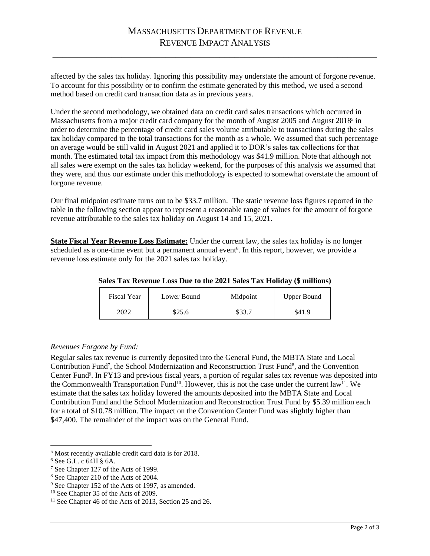## MASSACHUSETTS DEPARTMENT OF REVENUE REVENUE IMPACT ANALYSIS

\_\_\_\_\_\_\_\_\_\_\_\_\_\_\_\_\_\_\_\_\_\_\_\_\_\_\_\_\_\_\_\_\_\_\_\_\_\_\_\_\_\_\_\_\_\_\_\_\_\_\_\_\_\_\_\_\_\_\_\_\_\_\_\_\_\_

affected by the sales tax holiday. Ignoring this possibility may understate the amount of forgone revenue. To account for this possibility or to confirm the estimate generated by this method, we used a second method based on credit card transaction data as in previous years.

Under the second methodology, we obtained data on credit card sales transactions which occurred in Massachusetts from a major credit card company for the month of August 2005 and August 2018<sup>5</sup> in order to determine the percentage of credit card sales volume attributable to transactions during the sales tax holiday compared to the total transactions for the month as a whole. We assumed that such percentage on average would be still valid in August 2021 and applied it to DOR's sales tax collections for that month. The estimated total tax impact from this methodology was \$41.9 million. Note that although not all sales were exempt on the sales tax holiday weekend, for the purposes of this analysis we assumed that they were, and thus our estimate under this methodology is expected to somewhat overstate the amount of forgone revenue.

Our final midpoint estimate turns out to be \$33.7 million. The static revenue loss figures reported in the table in the following section appear to represent a reasonable range of values for the amount of forgone revenue attributable to the sales tax holiday on August 14 and 15, 2021.

**State Fiscal Year Revenue Loss Estimate:** Under the current law, the sales tax holiday is no longer scheduled as a one-time event but a permanent annual event<sup>6</sup>. In this report, however, we provide a revenue loss estimate only for the 2021 sales tax holiday.

| <b>Fiscal Year</b> | Lower Bound | Midpoint | <b>Upper Bound</b> |
|--------------------|-------------|----------|--------------------|
| ״ר∩י               | \$25.6      | \$33.7   | \$41.9             |

**Sales Tax Revenue Loss Due to the 2021 Sales Tax Holiday (\$ millions)**

## *Revenues Forgone by Fund:*

Regular sales tax revenue is currently deposited into the General Fund, the MBTA State and Local Contribution Fund<sup>7</sup>, the School Modernization and Reconstruction Trust Fund<sup>8</sup>, and the Convention Center Fund<sup>9</sup>. In FY13 and previous fiscal years, a portion of regular sales tax revenue was deposited into the Commonwealth Transportation Fund<sup>10</sup>. However, this is not the case under the current law<sup>11</sup>. We estimate that the sales tax holiday lowered the amounts deposited into the MBTA State and Local Contribution Fund and the School Modernization and Reconstruction Trust Fund by \$5.39 million each for a total of \$10.78 million. The impact on the Convention Center Fund was slightly higher than \$47,400. The remainder of the impact was on the General Fund.

<sup>5</sup> Most recently available credit card data is for 2018.

<sup>6</sup> See G.L. c 64H § 6A.

<sup>7</sup> See Chapter 127 of the Acts of 1999.

<sup>8</sup> See Chapter 210 of the Acts of 2004.

<sup>&</sup>lt;sup>9</sup> See Chapter 152 of the Acts of 1997, as amended.

<sup>&</sup>lt;sup>10</sup> See Chapter 35 of the Acts of 2009.

<sup>&</sup>lt;sup>11</sup> See Chapter 46 of the Acts of 2013, Section 25 and 26.